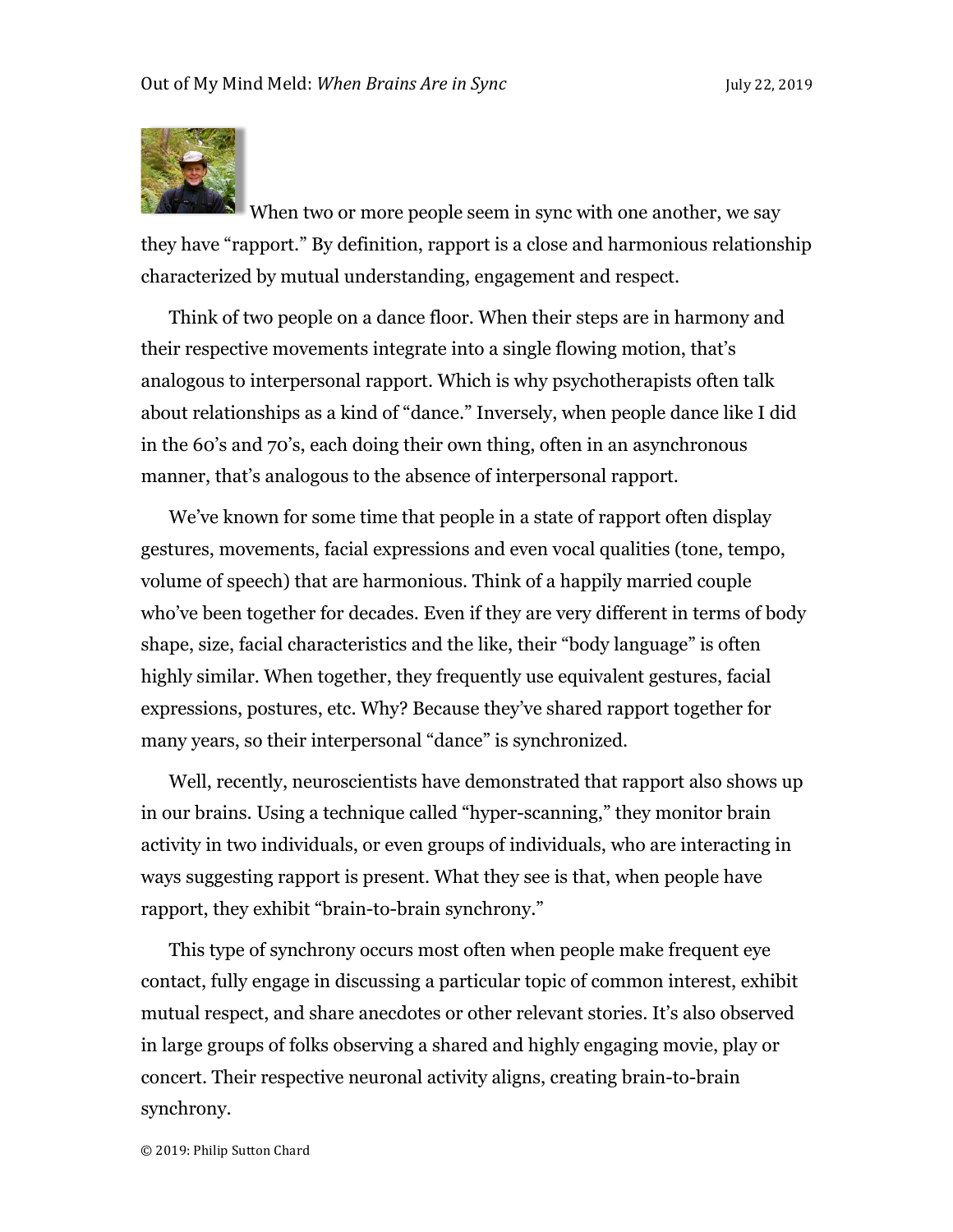

When two or more people seem in sync with one another, we say they have "rapport." By definition, rapport is a close and harmonious relationship characterized by mutual understanding, engagement and respect.

Think of two people on a dance floor. When their steps are in harmony and their respective movements integrate into a single flowing motion, that's analogous to interpersonal rapport. Which is why psychotherapists often talk about relationships as a kind of "dance." Inversely, when people dance like I did in the 60's and 70's, each doing their own thing, often in an asynchronous manner, that's analogous to the absence of interpersonal rapport.

We've known for some time that people in a state of rapport often display gestures, movements, facial expressions and even vocal qualities (tone, tempo, volume of speech) that are harmonious. Think of a happily married couple who've been together for decades. Even if they are very different in terms of body shape, size, facial characteristics and the like, their "body language" is often highly similar. When together, they frequently use equivalent gestures, facial expressions, postures, etc. Why? Because they've shared rapport together for many years, so their interpersonal "dance" is synchronized.

Well, recently, neuroscientists have demonstrated that rapport also shows up in our brains. Using a technique called "hyper-scanning," they monitor brain activity in two individuals, or even groups of individuals, who are interacting in ways suggesting rapport is present. What they see is that, when people have rapport, they exhibit "brain-to-brain synchrony."

This type of synchrony occurs most often when people make frequent eye contact, fully engage in discussing a particular topic of common interest, exhibit mutual respect, and share anecdotes or other relevant stories. It's also observed in large groups of folks observing a shared and highly engaging movie, play or concert. Their respective neuronal activity aligns, creating brain-to-brain synchrony.